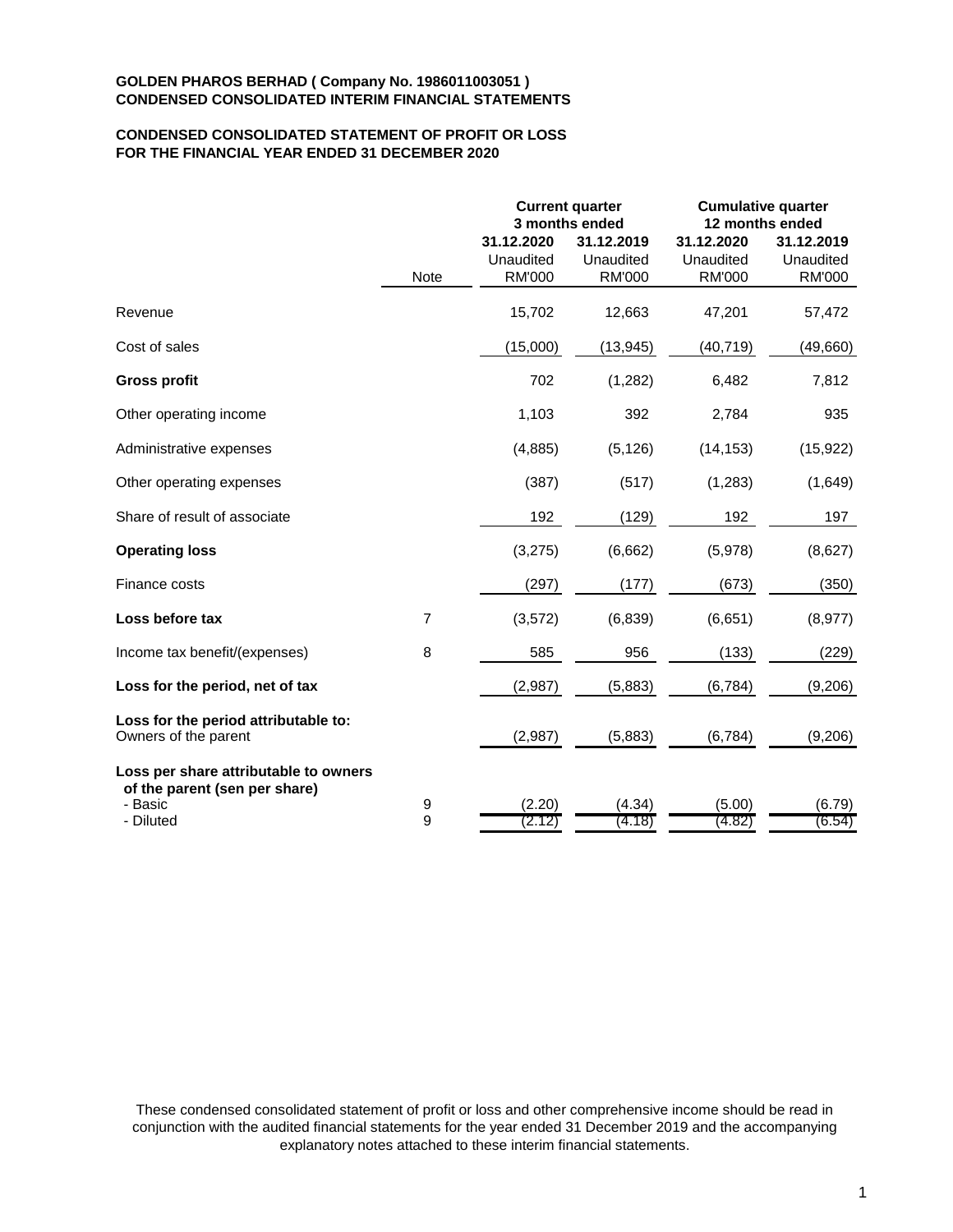# **CONDENSED CONSOLIDATED STATEMENT OF PROFIT OR LOSS FOR THE FINANCIAL YEAR ENDED 31 DECEMBER 2020**

|                                                                                   |                  |                                          | <b>Current quarter</b><br>3 months ended | <b>Cumulative quarter</b><br>12 months ended |                                          |  |
|-----------------------------------------------------------------------------------|------------------|------------------------------------------|------------------------------------------|----------------------------------------------|------------------------------------------|--|
|                                                                                   | Note             | 31.12.2020<br>Unaudited<br><b>RM'000</b> | 31.12.2019<br>Unaudited<br><b>RM'000</b> | 31.12.2020<br>Unaudited<br><b>RM'000</b>     | 31.12.2019<br>Unaudited<br><b>RM'000</b> |  |
| Revenue                                                                           |                  | 15,702                                   | 12,663                                   | 47,201                                       | 57,472                                   |  |
| Cost of sales                                                                     |                  | (15,000)                                 | (13, 945)                                | (40, 719)                                    | (49,660)                                 |  |
| <b>Gross profit</b>                                                               |                  | 702                                      | (1,282)                                  | 6,482                                        | 7,812                                    |  |
| Other operating income                                                            |                  | 1,103                                    | 392                                      | 2,784                                        | 935                                      |  |
| Administrative expenses                                                           |                  | (4,885)                                  | (5, 126)                                 | (14, 153)                                    | (15, 922)                                |  |
| Other operating expenses                                                          |                  | (387)                                    | (517)                                    | (1, 283)                                     | (1,649)                                  |  |
| Share of result of associate                                                      |                  | 192                                      | (129)                                    | 192                                          | 197                                      |  |
| <b>Operating loss</b>                                                             |                  | (3,275)                                  | (6,662)                                  | (5,978)                                      | (8,627)                                  |  |
| Finance costs                                                                     |                  | (297)                                    | (177)                                    | (673)                                        | (350)                                    |  |
| Loss before tax                                                                   | $\overline{7}$   | (3, 572)                                 | (6, 839)                                 | (6,651)                                      | (8,977)                                  |  |
| Income tax benefit/(expenses)                                                     | 8                | 585                                      | 956                                      | (133)                                        | (229)                                    |  |
| Loss for the period, net of tax                                                   |                  | (2,987)                                  | (5,883)                                  | (6, 784)                                     | (9,206)                                  |  |
| Loss for the period attributable to:<br>Owners of the parent                      |                  | (2,987)                                  | (5,883)                                  | (6,784)                                      | (9,206)                                  |  |
| Loss per share attributable to owners<br>of the parent (sen per share)<br>- Basic | $\boldsymbol{9}$ | (2.20)                                   | (4.34)                                   | (5.00)                                       | (6.79)                                   |  |
| - Diluted                                                                         | 9                | (2.12)                                   | (4.18)                                   | (4.82)                                       | (6.54)                                   |  |

These condensed consolidated statement of profit or loss and other comprehensive income should be read in conjunction with the audited financial statements for the year ended 31 December 2019 and the accompanying explanatory notes attached to these interim financial statements.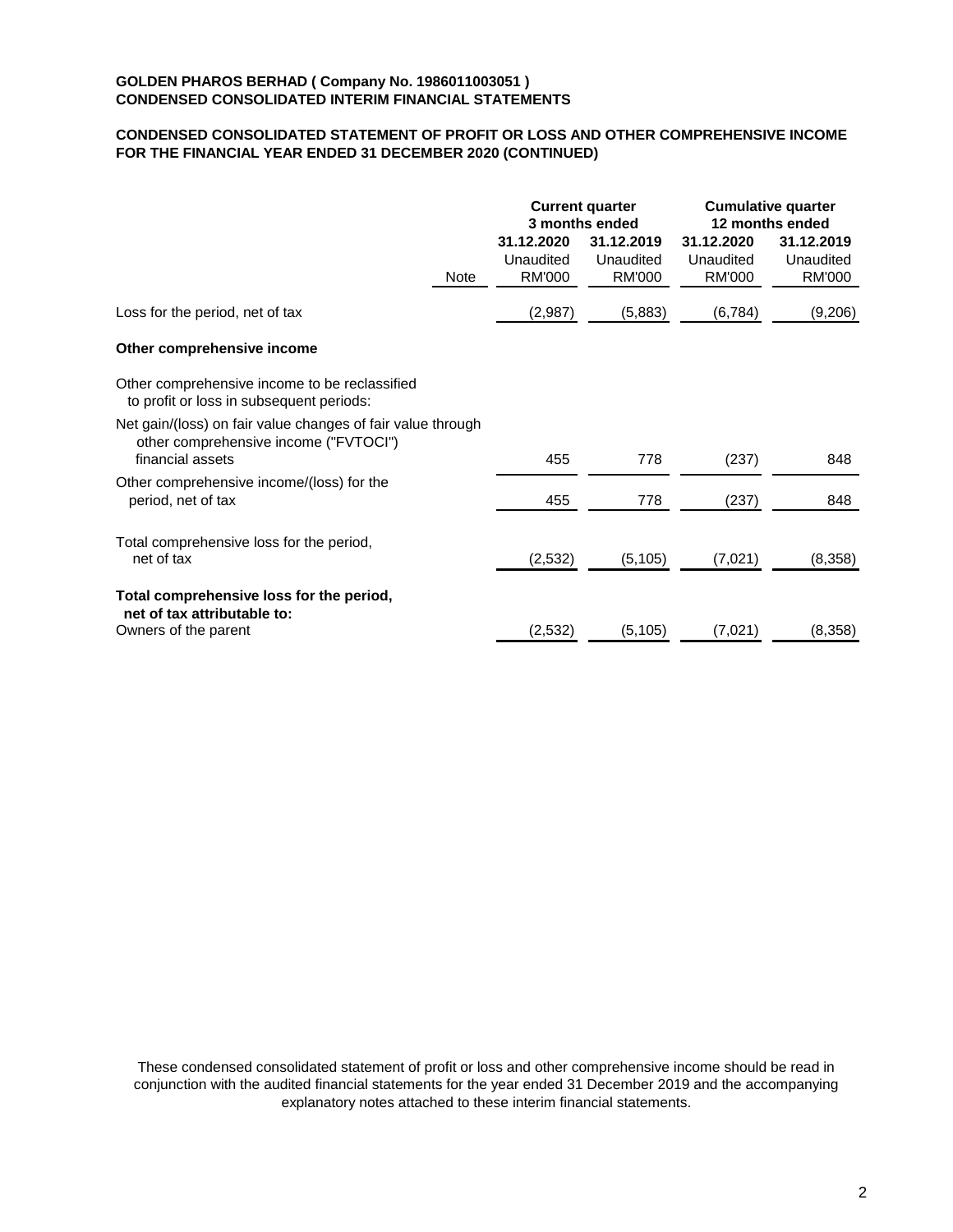# **CONDENSED CONSOLIDATED STATEMENT OF PROFIT OR LOSS AND OTHER COMPREHENSIVE INCOME FOR THE FINANCIAL YEAR ENDED 31 DECEMBER 2020 (CONTINUED)**

|                                                                                                                          | <b>Current quarter</b><br>3 months ended |                                          | <b>Cumulative quarter</b><br>12 months ended |                                          |
|--------------------------------------------------------------------------------------------------------------------------|------------------------------------------|------------------------------------------|----------------------------------------------|------------------------------------------|
| Note                                                                                                                     | 31.12.2020<br>Unaudited<br><b>RM'000</b> | 31.12.2019<br>Unaudited<br><b>RM'000</b> | 31.12.2020<br>Unaudited<br><b>RM'000</b>     | 31.12.2019<br>Unaudited<br><b>RM'000</b> |
| Loss for the period, net of tax                                                                                          | (2,987)                                  | (5,883)                                  | (6, 784)                                     | (9,206)                                  |
| Other comprehensive income                                                                                               |                                          |                                          |                                              |                                          |
| Other comprehensive income to be reclassified<br>to profit or loss in subsequent periods:                                |                                          |                                          |                                              |                                          |
| Net gain/(loss) on fair value changes of fair value through<br>other comprehensive income ("FVTOCI")<br>financial assets | 455                                      | 778                                      | (237)                                        | 848                                      |
| Other comprehensive income/(loss) for the<br>period, net of tax                                                          | 455                                      | 778                                      | (237)                                        | 848                                      |
| Total comprehensive loss for the period,<br>net of tax                                                                   | (2,532)                                  | (5, 105)                                 | (7,021)                                      | (8,358)                                  |
| Total comprehensive loss for the period,<br>net of tax attributable to:<br>Owners of the parent                          | (2,532)                                  | (5, 105)                                 | (7,021)                                      | (8,358)                                  |

These condensed consolidated statement of profit or loss and other comprehensive income should be read in conjunction with the audited financial statements for the year ended 31 December 2019 and the accompanying explanatory notes attached to these interim financial statements.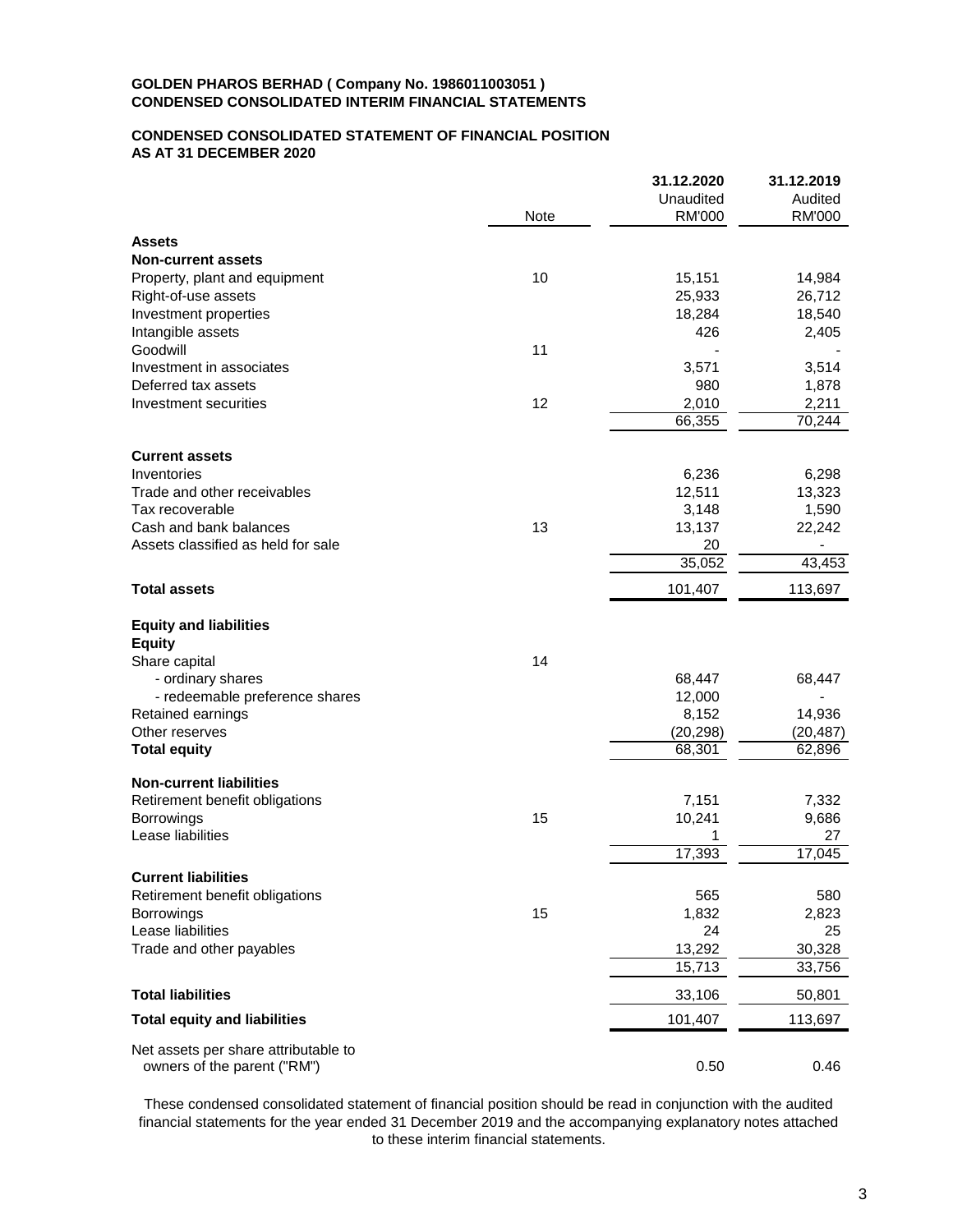### **CONDENSED CONSOLIDATED STATEMENT OF FINANCIAL POSITION AS AT 31 DECEMBER 2020**

|                                      |      | 31.12.2020    | 31.12.2019    |
|--------------------------------------|------|---------------|---------------|
|                                      |      | Unaudited     | Audited       |
|                                      | Note | <b>RM'000</b> | <b>RM'000</b> |
| <b>Assets</b>                        |      |               |               |
| <b>Non-current assets</b>            |      |               |               |
| Property, plant and equipment        | 10   | 15,151        | 14,984        |
| Right-of-use assets                  |      | 25,933        | 26,712        |
| Investment properties                |      | 18,284        | 18,540        |
| Intangible assets                    |      | 426           | 2,405         |
| Goodwill                             | 11   |               |               |
| Investment in associates             |      | 3,571         | 3,514         |
| Deferred tax assets                  |      | 980           | 1,878         |
| Investment securities                | 12   | 2,010         | 2,211         |
|                                      |      | 66,355        | 70,244        |
|                                      |      |               |               |
| <b>Current assets</b>                |      |               |               |
| Inventories                          |      | 6,236         | 6,298         |
| Trade and other receivables          |      | 12,511        | 13,323        |
| Tax recoverable                      |      | 3,148         | 1,590         |
| Cash and bank balances               | 13   | 13,137        | 22,242        |
| Assets classified as held for sale   |      | 20            |               |
|                                      |      | 35,052        | 43,453        |
| <b>Total assets</b>                  |      | 101,407       | 113,697       |
| <b>Equity and liabilities</b>        |      |               |               |
| <b>Equity</b>                        |      |               |               |
| Share capital                        | 14   |               |               |
| - ordinary shares                    |      | 68,447        | 68,447        |
| - redeemable preference shares       |      | 12,000        |               |
| Retained earnings                    |      | 8,152         | 14,936        |
| Other reserves                       |      | (20, 298)     | (20, 487)     |
| <b>Total equity</b>                  |      | 68,301        | 62,896        |
| <b>Non-current liabilities</b>       |      |               |               |
| Retirement benefit obligations       |      | 7,151         | 7,332         |
| <b>Borrowings</b>                    | 15   | 10,241        | 9,686         |
| Lease liabilities                    |      | 1             | 27            |
|                                      |      | 17,393        | 17,045        |
| <b>Current liabilities</b>           |      |               |               |
| Retirement benefit obligations       |      | 565           | 580           |
| Borrowings                           | 15   | 1,832         | 2,823         |
| Lease liabilities                    |      | 24            | 25            |
| Trade and other payables             |      | 13,292        | 30,328        |
|                                      |      | 15,713        | 33,756        |
| <b>Total liabilities</b>             |      | 33,106        | 50,801        |
| <b>Total equity and liabilities</b>  |      | 101,407       | 113,697       |
| Net assets per share attributable to |      |               |               |
| owners of the parent ("RM")          |      | 0.50          | 0.46          |
|                                      |      |               |               |

These condensed consolidated statement of financial position should be read in conjunction with the audited financial statements for the year ended 31 December 2019 and the accompanying explanatory notes attached to these interim financial statements.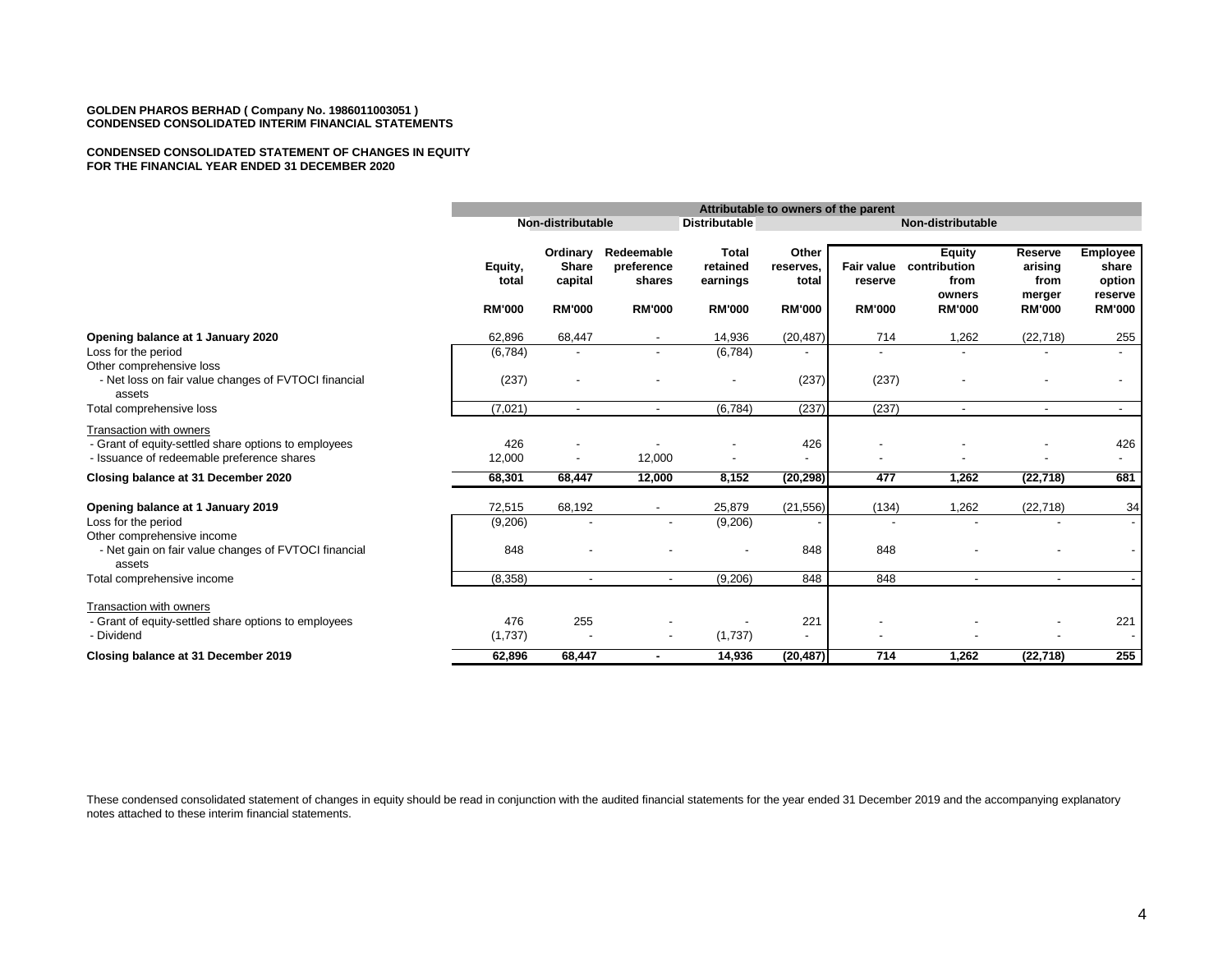#### **CONDENSED CONSOLIDATED STATEMENT OF CHANGES IN EQUITY FOR THE FINANCIAL YEAR ENDED 31 DECEMBER 2020**

|                                                                                                                               |                                   |                                                      |                                                     |                                                       | Attributable to owners of the parent         |                                        |                                                                  |                                                       |                                                                |
|-------------------------------------------------------------------------------------------------------------------------------|-----------------------------------|------------------------------------------------------|-----------------------------------------------------|-------------------------------------------------------|----------------------------------------------|----------------------------------------|------------------------------------------------------------------|-------------------------------------------------------|----------------------------------------------------------------|
|                                                                                                                               |                                   | Non-distributable                                    |                                                     | <b>Distributable</b>                                  |                                              | Non-distributable                      |                                                                  |                                                       |                                                                |
|                                                                                                                               | Equity,<br>total<br><b>RM'000</b> | Ordinary<br><b>Share</b><br>capital<br><b>RM'000</b> | Redeemable<br>preference<br>shares<br><b>RM'000</b> | <b>Total</b><br>retained<br>earnings<br><b>RM'000</b> | Other<br>reserves,<br>total<br><b>RM'000</b> | Fair value<br>reserve<br><b>RM'000</b> | <b>Equity</b><br>contribution<br>from<br>owners<br><b>RM'000</b> | Reserve<br>arising<br>from<br>merger<br><b>RM'000</b> | <b>Employee</b><br>share<br>option<br>reserve<br><b>RM'000</b> |
| Opening balance at 1 January 2020                                                                                             | 62,896                            | 68,447                                               | $\overline{\phantom{a}}$                            | 14,936                                                | (20, 487)                                    | 714                                    | 1,262                                                            | (22, 718)                                             | 255                                                            |
| Loss for the period                                                                                                           | (6, 784)                          |                                                      | $\overline{\phantom{a}}$                            | (6,784)                                               |                                              | $\overline{a}$                         |                                                                  |                                                       |                                                                |
| Other comprehensive loss<br>- Net loss on fair value changes of FVTOCI financial<br>assets                                    | (237)                             |                                                      |                                                     |                                                       | (237)                                        | (237)                                  |                                                                  |                                                       | $\overline{a}$                                                 |
| Total comprehensive loss                                                                                                      | (7,021)                           | $\sim$                                               | $\blacksquare$                                      | (6,784)                                               | (237)                                        | (237)                                  | $\overline{\phantom{a}}$                                         | $\blacksquare$                                        | $\sim$                                                         |
| Transaction with owners<br>- Grant of equity-settled share options to employees<br>- Issuance of redeemable preference shares | 426<br>12,000                     | $\overline{\phantom{a}}$                             | 12,000                                              |                                                       | 426<br>$\overline{a}$                        |                                        |                                                                  |                                                       | 426<br>$\overline{\phantom{a}}$                                |
| Closing balance at 31 December 2020                                                                                           | 68,301                            | 68,447                                               | 12,000                                              | 8,152                                                 | (20, 298)                                    | 477                                    | 1,262                                                            | (22, 718)                                             | 681                                                            |
| Opening balance at 1 January 2019                                                                                             | 72,515                            | 68,192                                               |                                                     | 25,879                                                | (21, 556)                                    | (134)                                  | 1,262                                                            | (22, 718)                                             | 34                                                             |
| Loss for the period                                                                                                           | (9,206)                           |                                                      | $\overline{\phantom{a}}$                            | (9,206)                                               |                                              |                                        |                                                                  |                                                       |                                                                |
| Other comprehensive income<br>- Net gain on fair value changes of FVTOCI financial<br>assets                                  | 848                               |                                                      |                                                     |                                                       | 848                                          | 848                                    |                                                                  |                                                       |                                                                |
| Total comprehensive income                                                                                                    | (8, 358)                          |                                                      | $\overline{\phantom{a}}$                            | (9,206)                                               | 848                                          | 848                                    | $\overline{\phantom{a}}$                                         |                                                       |                                                                |
| Transaction with owners                                                                                                       |                                   |                                                      |                                                     |                                                       |                                              |                                        |                                                                  |                                                       |                                                                |
| - Grant of equity-settled share options to employees                                                                          | 476                               | 255                                                  |                                                     |                                                       | 221                                          |                                        |                                                                  |                                                       | 221                                                            |
| - Dividend                                                                                                                    | (1,737)                           |                                                      | $\overline{\phantom{a}}$                            | (1,737)                                               | $\overline{\phantom{a}}$                     |                                        |                                                                  |                                                       |                                                                |
| Closing balance at 31 December 2019                                                                                           | 62,896                            | 68,447                                               | $\blacksquare$                                      | 14,936                                                | (20, 487)                                    | 714                                    | 1,262                                                            | (22, 718)                                             | 255                                                            |

These condensed consolidated statement of changes in equity should be read in conjunction with the audited financial statements for the year ended 31 December 2019 and the accompanying explanatory notes attached to these interim financial statements.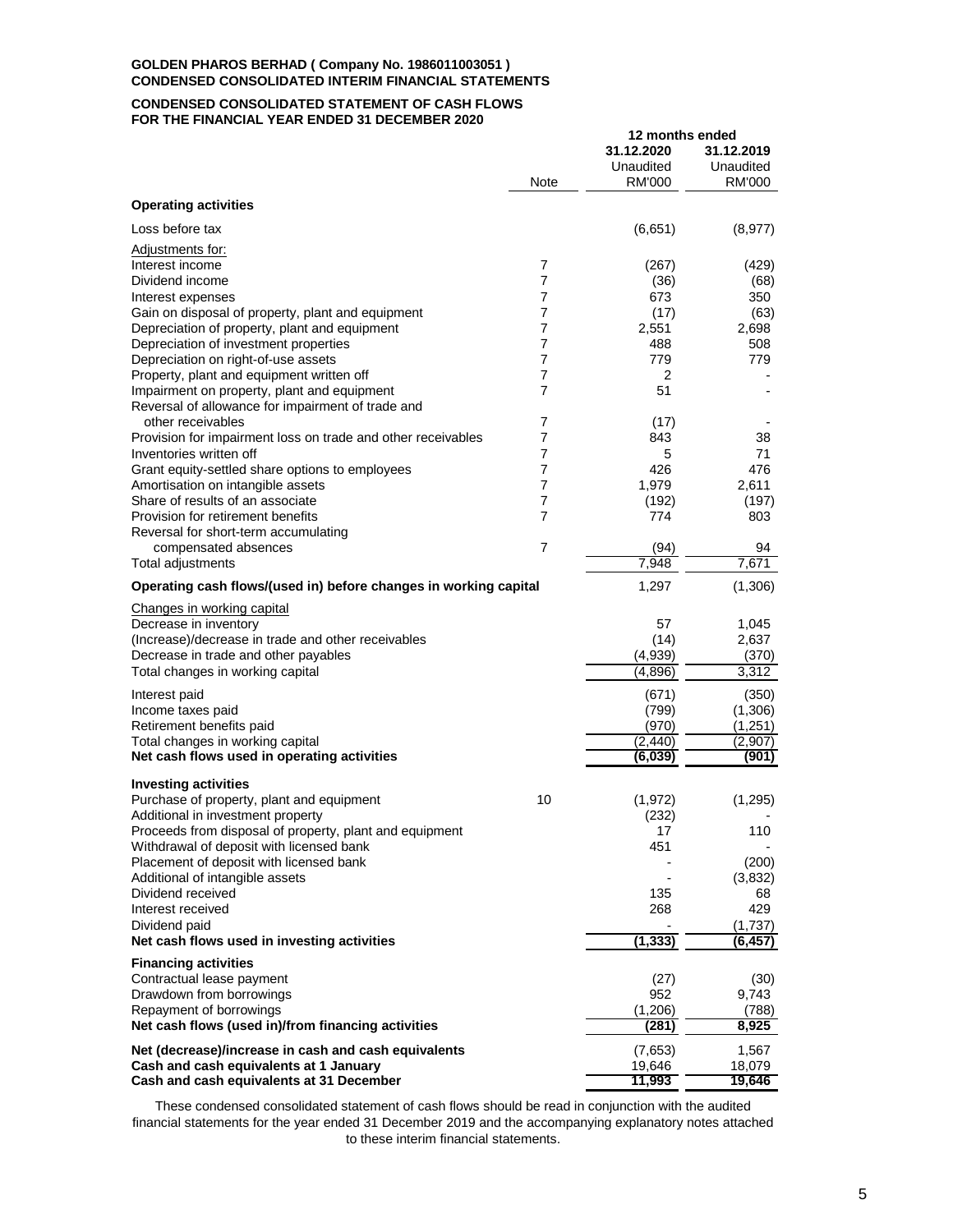#### **CONDENSED CONSOLIDATED STATEMENT OF CASH FLOWS FOR THE FINANCIAL YEAR ENDED 31 DECEMBER 2020**

|                                                                                        |                | 12 months ended |                |
|----------------------------------------------------------------------------------------|----------------|-----------------|----------------|
|                                                                                        |                | 31.12.2020      | 31.12.2019     |
|                                                                                        |                | Unaudited       | Unaudited      |
|                                                                                        | Note           | RM'000          | RM'000         |
| <b>Operating activities</b>                                                            |                |                 |                |
| Loss before tax                                                                        |                | (6,651)         | (8, 977)       |
| Adjustments for:                                                                       |                |                 |                |
| Interest income                                                                        | 7              | (267)           | (429)          |
| Dividend income                                                                        | 7              | (36)            | (68)           |
| Interest expenses                                                                      | 7              | 673             | 350            |
| Gain on disposal of property, plant and equipment                                      | 7              | (17)            | (63)           |
| Depreciation of property, plant and equipment<br>Depreciation of investment properties | 7<br>7         | 2,551<br>488    | 2,698<br>508   |
| Depreciation on right-of-use assets                                                    | 7              | 779             | 779            |
| Property, plant and equipment written off                                              | 7              | 2               |                |
| Impairment on property, plant and equipment                                            | 7              | 51              |                |
| Reversal of allowance for impairment of trade and                                      |                |                 |                |
| other receivables                                                                      | 7              | (17)            |                |
| Provision for impairment loss on trade and other receivables                           | 7              | 843             | 38             |
| Inventories written off                                                                | 7              | 5               | 71             |
| Grant equity-settled share options to employees                                        | 7              | 426             | 476            |
| Amortisation on intangible assets                                                      | 7              | 1,979           | 2,611          |
| Share of results of an associate                                                       | 7              | (192)           | (197)          |
| Provision for retirement benefits                                                      | 7              | 774             | 803            |
| Reversal for short-term accumulating<br>compensated absences                           | $\overline{7}$ | (94)            | 94             |
| Total adjustments                                                                      |                | 7,948           | 7,671          |
| Operating cash flows/(used in) before changes in working capital                       |                | 1,297           | (1,306)        |
| Changes in working capital                                                             |                |                 |                |
| Decrease in inventory                                                                  |                | 57              | 1,045          |
| (Increase)/decrease in trade and other receivables                                     |                | (14)            | 2,637          |
| Decrease in trade and other payables                                                   |                | (4,939)         | (370)          |
| Total changes in working capital                                                       |                | (4,896)         | 3,312          |
| Interest paid                                                                          |                | (671)           | (350)          |
| Income taxes paid                                                                      |                | (799)           | (1,306)        |
| Retirement benefits paid                                                               |                | (970)           | (1, 251)       |
| Total changes in working capital                                                       |                | (2, 440)        | (2,907)        |
| Net cash flows used in operating activities                                            |                | (6,039)         | (901)          |
| <b>Investing activities</b>                                                            |                |                 |                |
| Purchase of property, plant and equipment                                              | 10             | (1, 972)        | (1,295)        |
| Additional in investment property                                                      |                | (232)           |                |
| Proceeds from disposal of property, plant and equipment                                |                | 17              | 110            |
| Withdrawal of deposit with licensed bank                                               |                | 451             |                |
| Placement of deposit with licensed bank                                                |                |                 | (200)          |
| Additional of intangible assets                                                        |                |                 | (3,832)        |
| Dividend received<br>Interest received                                                 |                | 135             | 68             |
| Dividend paid                                                                          |                | 268             | 429<br>(1,737) |
| Net cash flows used in investing activities                                            |                | (1, 333)        | (6, 457)       |
| <b>Financing activities</b>                                                            |                |                 |                |
| Contractual lease payment                                                              |                | (27)            | (30)           |
| Drawdown from borrowings                                                               |                | 952             | 9,743          |
| Repayment of borrowings                                                                |                | (1,206)         | (788)          |
| Net cash flows (used in)/from financing activities                                     |                | (281)           | 8,925          |
| Net (decrease)/increase in cash and cash equivalents                                   |                | (7,653)         | 1,567          |
| Cash and cash equivalents at 1 January                                                 |                | 19,646          | 18,079         |
| Cash and cash equivalents at 31 December                                               |                | 11,993          | 19,646         |

These condensed consolidated statement of cash flows should be read in conjunction with the audited financial statements for the year ended 31 December 2019 and the accompanying explanatory notes attached to these interim financial statements.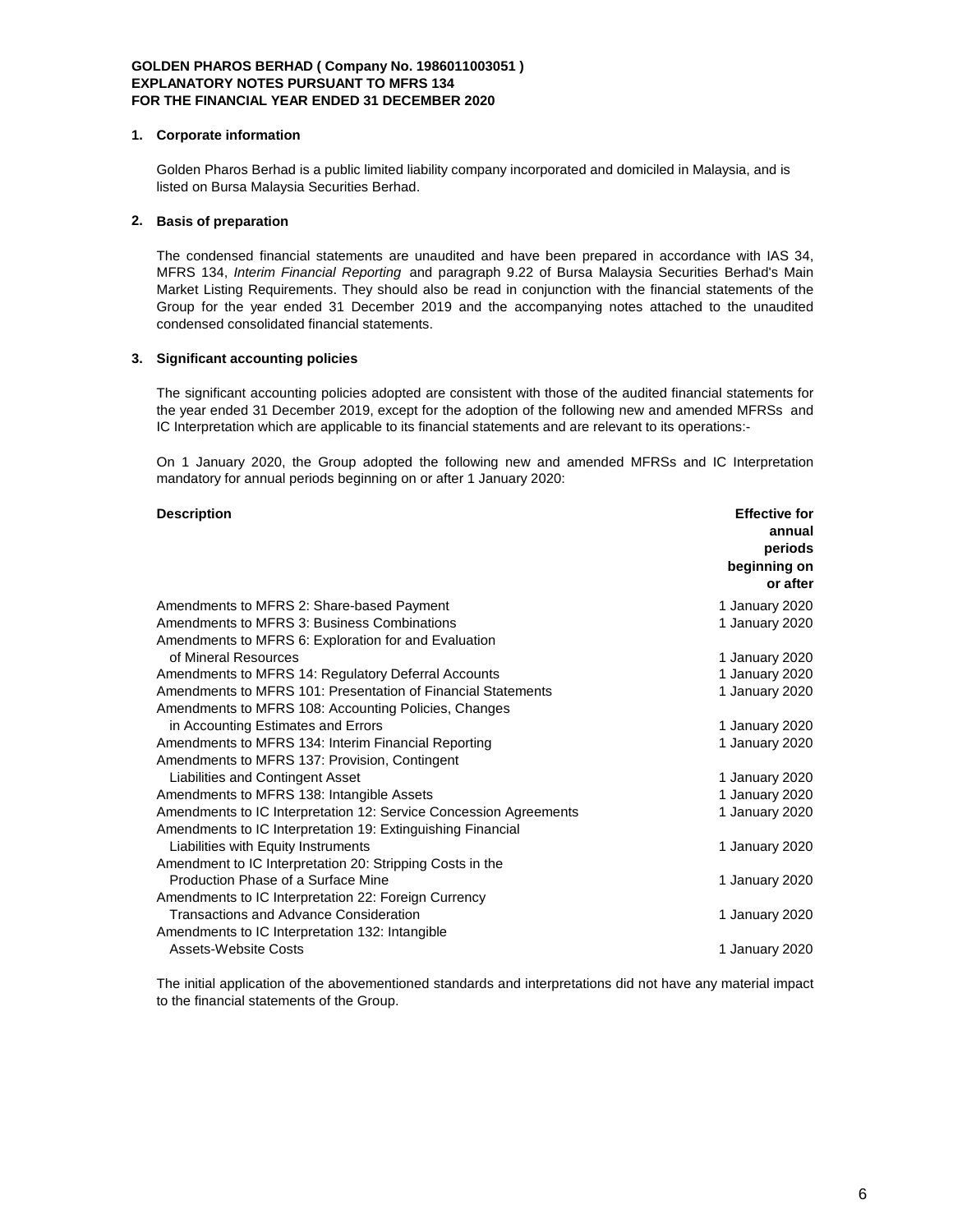### **1. Corporate information**

Golden Pharos Berhad is a public limited liability company incorporated and domiciled in Malaysia, and is listed on Bursa Malaysia Securities Berhad.

### **2. Basis of preparation**

The condensed financial statements are unaudited and have been prepared in accordance with IAS 34, MFRS 134, *Interim Financial Reporting* and paragraph 9.22 of Bursa Malaysia Securities Berhad's Main Market Listing Requirements. They should also be read in conjunction with the financial statements of the Group for the year ended 31 December 2019 and the accompanying notes attached to the unaudited condensed consolidated financial statements.

### **3. Significant accounting policies**

The significant accounting policies adopted are consistent with those of the audited financial statements for the year ended 31 December 2019, except for the adoption of the following new and amended MFRSs and IC Interpretation which are applicable to its financial statements and are relevant to its operations:-

On 1 January 2020, the Group adopted the following new and amended MFRSs and IC Interpretation mandatory for annual periods beginning on or after 1 January 2020:

#### **Description Effective for**

|                                                                   | annual         |
|-------------------------------------------------------------------|----------------|
|                                                                   | periods        |
|                                                                   | beginning on   |
|                                                                   | or after       |
| Amendments to MFRS 2: Share-based Payment                         | 1 January 2020 |
| Amendments to MFRS 3: Business Combinations                       | 1 January 2020 |
| Amendments to MFRS 6: Exploration for and Evaluation              |                |
| of Mineral Resources                                              | 1 January 2020 |
| Amendments to MFRS 14: Regulatory Deferral Accounts               | 1 January 2020 |
| Amendments to MFRS 101: Presentation of Financial Statements      | 1 January 2020 |
| Amendments to MFRS 108: Accounting Policies, Changes              |                |
| in Accounting Estimates and Errors                                | 1 January 2020 |
| Amendments to MFRS 134: Interim Financial Reporting               | 1 January 2020 |
| Amendments to MFRS 137: Provision, Contingent                     |                |
| Liabilities and Contingent Asset                                  | 1 January 2020 |
| Amendments to MFRS 138: Intangible Assets                         | 1 January 2020 |
| Amendments to IC Interpretation 12: Service Concession Agreements | 1 January 2020 |
| Amendments to IC Interpretation 19: Extinguishing Financial       |                |
| Liabilities with Equity Instruments                               | 1 January 2020 |
| Amendment to IC Interpretation 20: Stripping Costs in the         |                |
| Production Phase of a Surface Mine                                | 1 January 2020 |
| Amendments to IC Interpretation 22: Foreign Currency              |                |
| Transactions and Advance Consideration                            | 1 January 2020 |
| Amendments to IC Interpretation 132: Intangible                   |                |
| Assets-Website Costs                                              | 1 January 2020 |

The initial application of the abovementioned standards and interpretations did not have any material impact to the financial statements of the Group.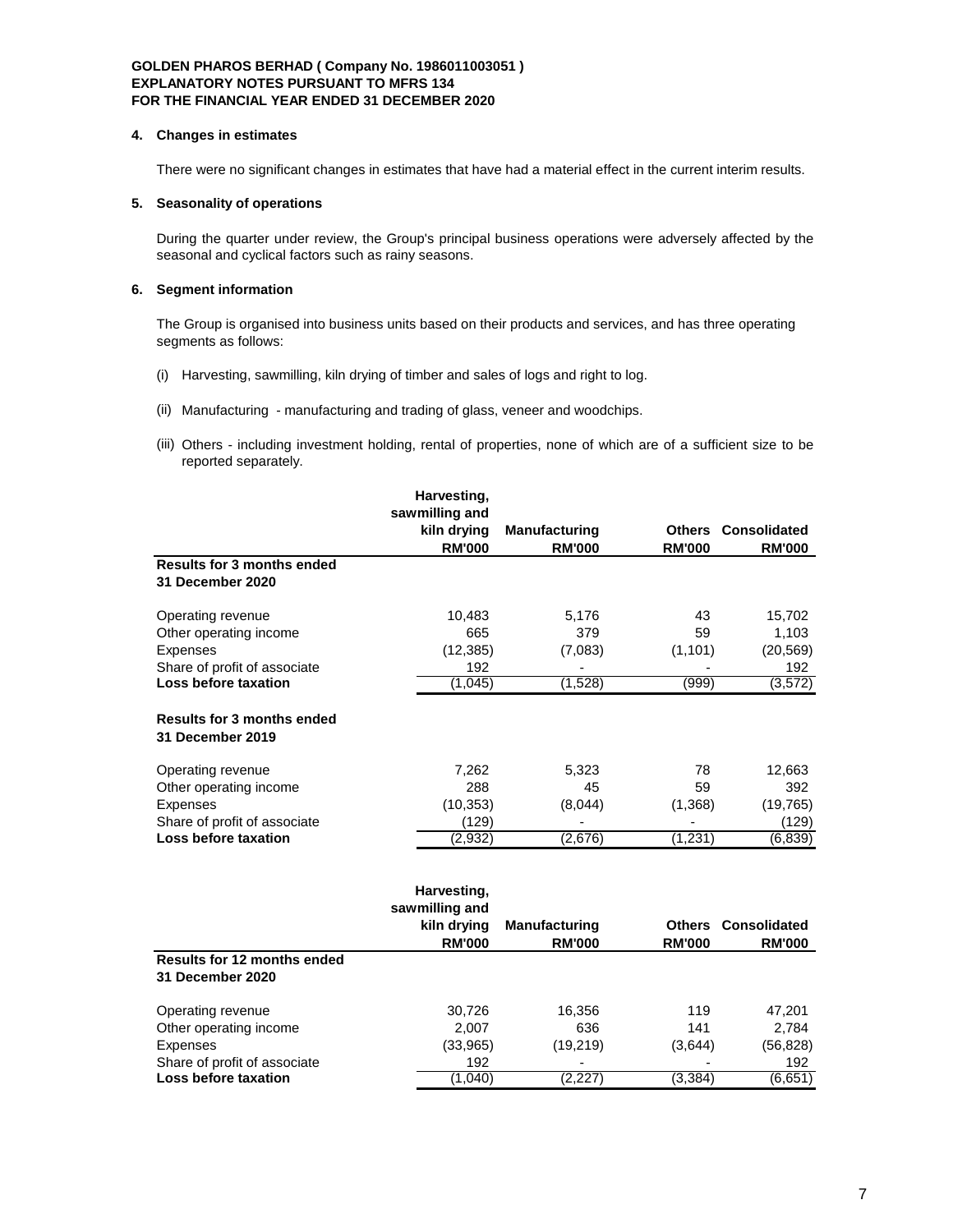#### **4. Changes in estimates**

There were no significant changes in estimates that have had a material effect in the current interim results.

## **5. Seasonality of operations**

During the quarter under review, the Group's principal business operations were adversely affected by the seasonal and cyclical factors such as rainy seasons.

## **6. Segment information**

**Loss before taxation** 

The Group is organised into business units based on their products and services, and has three operating segments as follows:

- (i) Harvesting, sawmilling, kiln drying of timber and sales of logs and right to log.
- (ii) Manufacturing manufacturing and trading of glass, veneer and woodchips.
- (iii) Others including investment holding, rental of properties, none of which are of a sufficient size to be reported separately.

|                                                       | Harvesting,                                                   |                                       |                                |                                      |
|-------------------------------------------------------|---------------------------------------------------------------|---------------------------------------|--------------------------------|--------------------------------------|
|                                                       | sawmilling and                                                |                                       |                                |                                      |
|                                                       | kiln drying                                                   | <b>Manufacturing</b>                  |                                | <b>Others Consolidated</b>           |
|                                                       | <b>RM'000</b>                                                 | <b>RM'000</b>                         | <b>RM'000</b>                  | <b>RM'000</b>                        |
| <b>Results for 3 months ended</b>                     |                                                               |                                       |                                |                                      |
| 31 December 2020                                      |                                                               |                                       |                                |                                      |
| Operating revenue                                     | 10,483                                                        | 5,176                                 | 43                             | 15,702                               |
| Other operating income                                | 665                                                           | 379                                   | 59                             | 1,103                                |
| Expenses                                              | (12, 385)                                                     | (7,083)                               | (1, 101)                       | (20, 569)                            |
| Share of profit of associate                          | 192                                                           |                                       |                                | 192                                  |
| Loss before taxation                                  | (1,045)                                                       | (1,528)                               | (999)                          | (3, 572)                             |
| <b>Results for 3 months ended</b><br>31 December 2019 |                                                               |                                       |                                |                                      |
| Operating revenue                                     | 7,262                                                         | 5,323                                 | 78                             | 12,663                               |
| Other operating income                                | 288                                                           | 45                                    | 59                             | 392                                  |
| Expenses                                              | (10, 353)                                                     | (8,044)                               | (1,368)                        | (19, 765)                            |
| Share of profit of associate                          | (129)                                                         |                                       |                                | (129)                                |
| Loss before taxation                                  | (2,932)                                                       | (2,676)                               | (1, 231)                       | (6,839)                              |
|                                                       | Harvesting,<br>sawmilling and<br>kiln drying<br><b>RM'000</b> | <b>Manufacturing</b><br><b>RM'000</b> | <b>Others</b><br><b>RM'000</b> | <b>Consolidated</b><br><b>RM'000</b> |
| <b>Results for 12 months ended</b>                    |                                                               |                                       |                                |                                      |
| 31 December 2020                                      |                                                               |                                       |                                |                                      |
| Operating revenue                                     | 30,726                                                        | 16,356                                | 119                            | 47,201                               |
| Other operating income                                | 2,007                                                         | 636                                   | 141                            | 2,784                                |

Expenses (33,965) (19,219) (3,644) (56,828) Share of profit of associate <br> **Loss before taxation** <br>
(1,040) (2,227) (3,384) (6,651)

7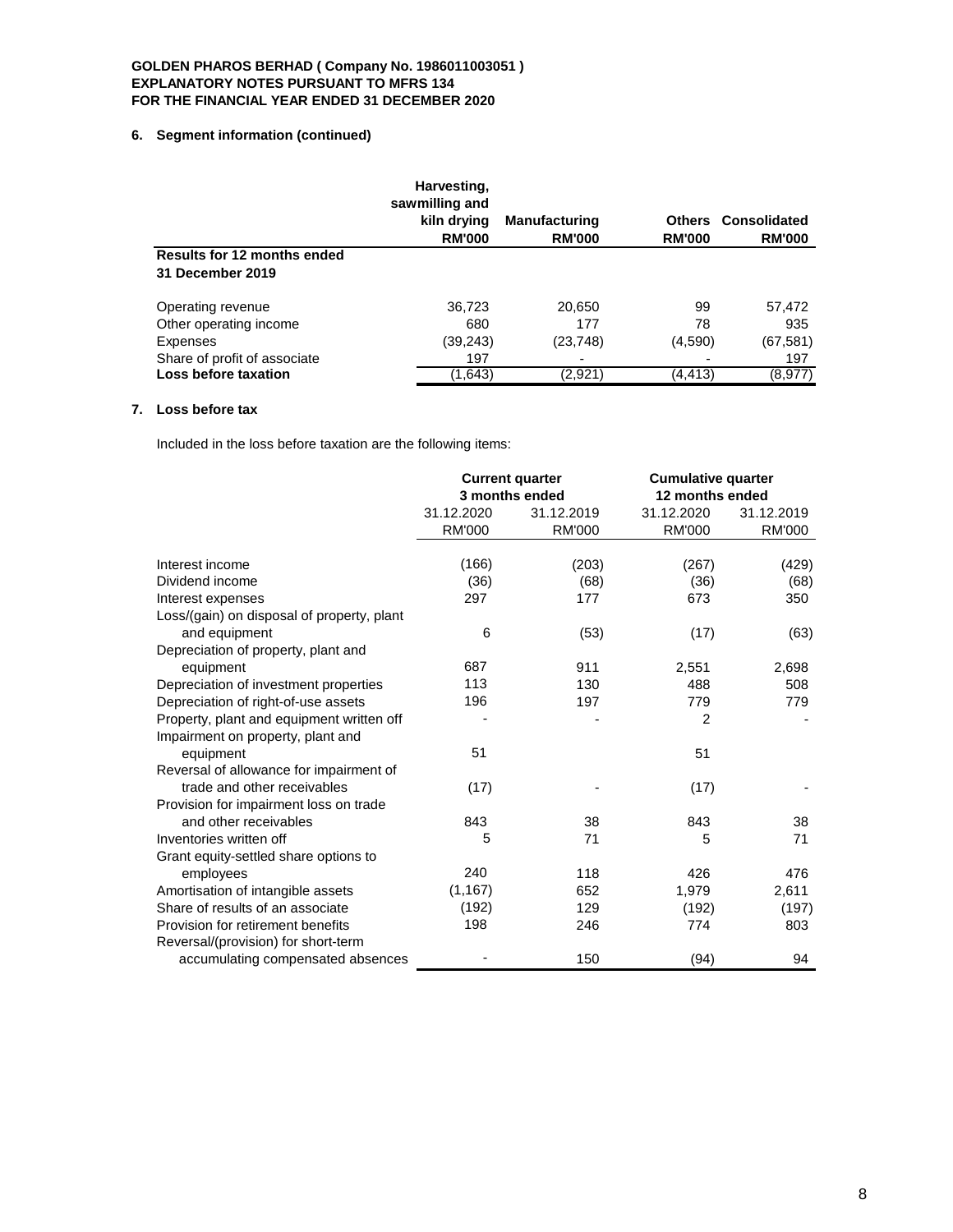## **6. Segment information (continued)**

|                                                 | Harvesting,<br>sawmilling and<br>kiln drying<br><b>RM'000</b> | <b>Manufacturing</b><br><b>RM'000</b> | <b>Others</b><br><b>RM'000</b> | Consolidated<br><b>RM'000</b> |
|-------------------------------------------------|---------------------------------------------------------------|---------------------------------------|--------------------------------|-------------------------------|
| Results for 12 months ended<br>31 December 2019 |                                                               |                                       |                                |                               |
| Operating revenue                               | 36,723                                                        | 20,650                                | 99                             | 57,472                        |
| Other operating income                          | 680                                                           | 177                                   | 78                             | 935                           |
| Expenses                                        | (39,243)                                                      | (23, 748)                             | (4,590)                        | (67, 581)                     |
| Share of profit of associate                    | 197                                                           |                                       |                                | 197                           |
| Loss before taxation                            | (1,643)                                                       | (2,921)                               | (4,413)                        | (8,977)                       |

# **7. Loss before tax**

Included in the loss before taxation are the following items:

|                                            | <b>Current quarter</b><br>3 months ended |               | <b>Cumulative quarter</b><br>12 months ended |               |
|--------------------------------------------|------------------------------------------|---------------|----------------------------------------------|---------------|
|                                            | 31.12.2020                               | 31.12.2019    | 31.12.2020                                   | 31.12.2019    |
|                                            | <b>RM'000</b>                            | <b>RM'000</b> | <b>RM'000</b>                                | <b>RM'000</b> |
| Interest income                            | (166)                                    | (203)         | (267)                                        | (429)         |
| Dividend income                            | (36)                                     | (68)          | (36)                                         | (68)          |
| Interest expenses                          | 297                                      | 177           | 673                                          | 350           |
| Loss/(gain) on disposal of property, plant |                                          |               |                                              |               |
| and equipment                              | 6                                        | (53)          | (17)                                         | (63)          |
| Depreciation of property, plant and        |                                          |               |                                              |               |
| equipment                                  | 687                                      | 911           | 2,551                                        | 2,698         |
| Depreciation of investment properties      | 113                                      | 130           | 488                                          | 508           |
| Depreciation of right-of-use assets        | 196                                      | 197           | 779                                          | 779           |
| Property, plant and equipment written off  |                                          |               | $\overline{2}$                               |               |
| Impairment on property, plant and          |                                          |               |                                              |               |
| equipment                                  | 51                                       |               | 51                                           |               |
| Reversal of allowance for impairment of    |                                          |               |                                              |               |
| trade and other receivables                | (17)                                     |               | (17)                                         |               |
| Provision for impairment loss on trade     |                                          |               |                                              |               |
| and other receivables                      | 843                                      | 38            | 843                                          | 38            |
| Inventories written off                    | 5                                        | 71            | 5                                            | 71            |
| Grant equity-settled share options to      |                                          |               |                                              |               |
| employees                                  | 240                                      | 118           | 426                                          | 476           |
| Amortisation of intangible assets          | (1, 167)                                 | 652           | 1,979                                        | 2,611         |
| Share of results of an associate           | (192)                                    | 129           | (192)                                        | (197)         |
| Provision for retirement benefits          | 198                                      | 246           | 774                                          | 803           |
| Reversal/(provision) for short-term        |                                          |               |                                              |               |
| accumulating compensated absences          |                                          | 150           | (94)                                         | 94            |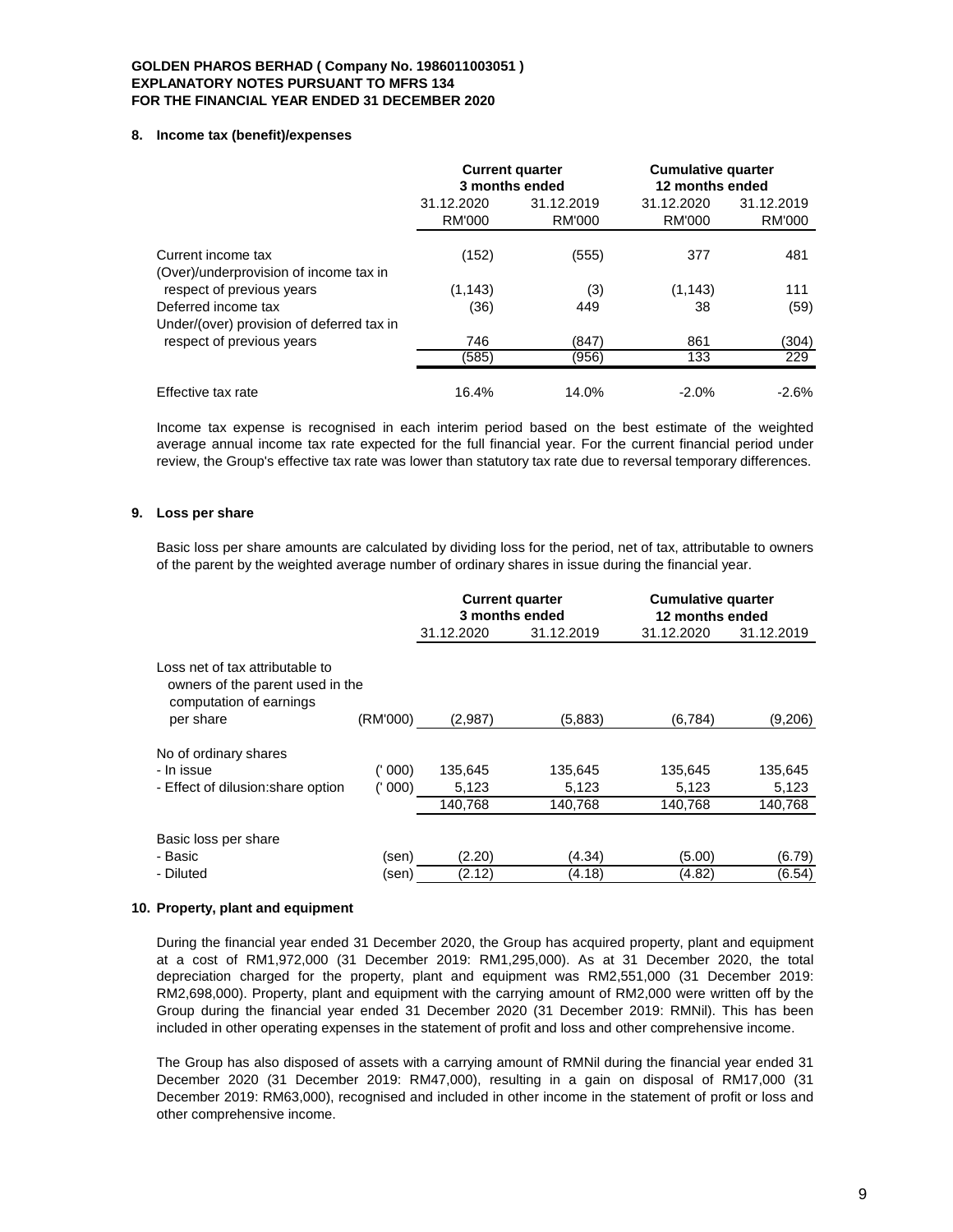#### **8. Income tax (benefit)/expenses**

|                                                                  |                      | <b>Current quarter</b><br>3 months ended | <b>Cumulative quarter</b><br>12 months ended |                             |
|------------------------------------------------------------------|----------------------|------------------------------------------|----------------------------------------------|-----------------------------|
|                                                                  | 31.12.2020<br>RM'000 | 31.12.2019<br>RM'000                     | 31.12.2020<br>RM'000                         | 31.12.2019<br><b>RM'000</b> |
| Current income tax<br>(Over)/underprovision of income tax in     | (152)                | (555)                                    | 377                                          | 481                         |
| respect of previous years                                        | (1, 143)             | (3)                                      | (1, 143)                                     | 111                         |
| Deferred income tax<br>Under/(over) provision of deferred tax in | (36)                 | 449                                      | 38                                           | (59)                        |
| respect of previous years                                        | 746                  | (847)                                    | 861                                          | (304)                       |
|                                                                  | (585)                | (956)                                    | 133                                          | 229                         |
| Effective tax rate                                               | 16.4%                | 14.0%                                    | $-2.0\%$                                     | $-2.6%$                     |

Income tax expense is recognised in each interim period based on the best estimate of the weighted average annual income tax rate expected for the full financial year. For the current financial period under review, the Group's effective tax rate was lower than statutory tax rate due to reversal temporary differences.

### **9. Loss per share**

Basic loss per share amounts are calculated by dividing loss for the period, net of tax, attributable to owners of the parent by the weighted average number of ordinary shares in issue during the financial year.

|                                                                                                             |          | <b>Current quarter</b><br>3 months ended |            | <b>Cumulative quarter</b><br>12 months ended |            |
|-------------------------------------------------------------------------------------------------------------|----------|------------------------------------------|------------|----------------------------------------------|------------|
|                                                                                                             |          | 31.12.2020                               | 31.12.2019 | 31.12.2020                                   | 31.12.2019 |
| Loss net of tax attributable to<br>owners of the parent used in the<br>computation of earnings<br>per share | (RM'000) | (2,987)                                  | (5,883)    | (6,784)                                      | (9,206)    |
| No of ordinary shares                                                                                       |          |                                          |            |                                              |            |
| - In issue                                                                                                  | (' 000)  | 135,645                                  | 135,645    | 135,645                                      | 135,645    |
| - Effect of dilusion: share option                                                                          | (' 000)  | 5,123                                    | 5,123      | 5,123                                        | 5,123      |
|                                                                                                             |          | 140.768                                  | 140,768    | 140,768                                      | 140,768    |
| Basic loss per share                                                                                        |          |                                          |            |                                              |            |
| - Basic                                                                                                     | (sen)    | (2.20)                                   | (4.34)     | (5.00)                                       | (6.79)     |
| - Diluted                                                                                                   | (sen)    | (2.12)                                   | (4.18)     | (4.82)                                       | (6.54)     |

### **10. Property, plant and equipment**

During the financial year ended 31 December 2020, the Group has acquired property, plant and equipment at a cost of RM1,972,000 (31 December 2019: RM1,295,000). As at 31 December 2020, the total depreciation charged for the property, plant and equipment was RM2,551,000 (31 December 2019: RM2,698,000). Property, plant and equipment with the carrying amount of RM2,000 were written off by the Group during the financial year ended 31 December 2020 (31 December 2019: RMNil). This has been included in other operating expenses in the statement of profit and loss and other comprehensive income.

The Group has also disposed of assets with a carrying amount of RMNil during the financial year ended 31 December 2020 (31 December 2019: RM47,000), resulting in a gain on disposal of RM17,000 (31 December 2019: RM63,000), recognised and included in other income in the statement of profit or loss and other comprehensive income.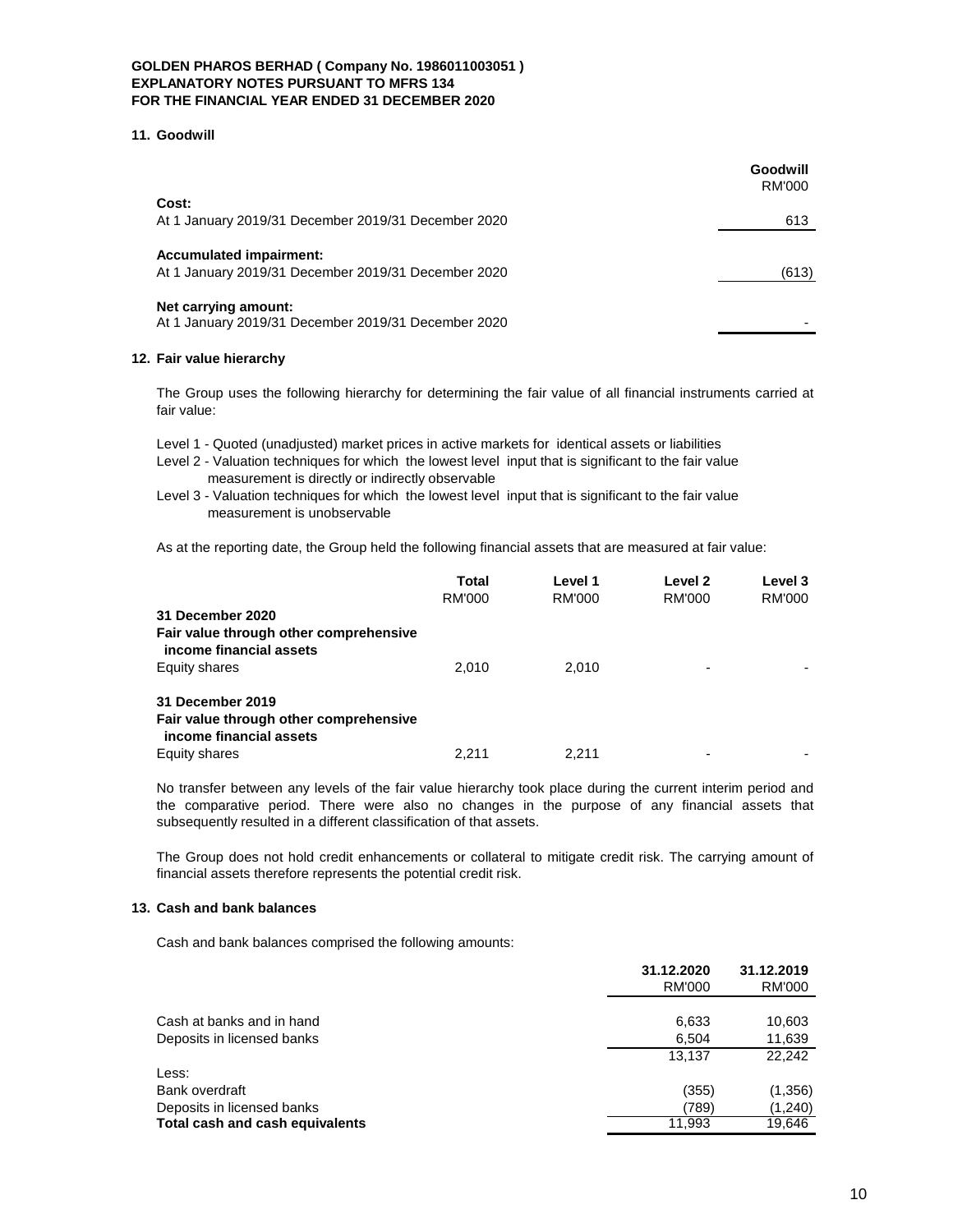#### **11. Goodwill**

|                                                                                       | Goodwill<br><b>RM'000</b> |
|---------------------------------------------------------------------------------------|---------------------------|
| Cost:<br>At 1 January 2019/31 December 2019/31 December 2020                          | 613                       |
| <b>Accumulated impairment:</b><br>At 1 January 2019/31 December 2019/31 December 2020 | (613)                     |
| Net carrying amount:<br>At 1 January 2019/31 December 2019/31 December 2020           |                           |

### **12. Fair value hierarchy**

The Group uses the following hierarchy for determining the fair value of all financial instruments carried at fair value:

Level 1 - Quoted (unadjusted) market prices in active markets for identical assets or liabilities

- Level 2 Valuation techniques for which the lowest level input that is significant to the fair value measurement is directly or indirectly observable
- Level 3 Valuation techniques for which the lowest level input that is significant to the fair value measurement is unobservable

As at the reporting date, the Group held the following financial assets that are measured at fair value:

|                                                                   | Total  | Level 1 | Level 2       | Level 3 |
|-------------------------------------------------------------------|--------|---------|---------------|---------|
|                                                                   | RM'000 | RM'000  | <b>RM'000</b> | RM'000  |
| 31 December 2020                                                  |        |         |               |         |
| Fair value through other comprehensive<br>income financial assets |        |         |               |         |
| Equity shares                                                     | 2.010  | 2.010   | ۰             |         |
| 31 December 2019                                                  |        |         |               |         |
| Fair value through other comprehensive<br>income financial assets |        |         |               |         |
| Equity shares                                                     | 2.211  | 2.211   | ۰             |         |

No transfer between any levels of the fair value hierarchy took place during the current interim period and the comparative period. There were also no changes in the purpose of any financial assets that subsequently resulted in a different classification of that assets.

The Group does not hold credit enhancements or collateral to mitigate credit risk. The carrying amount of financial assets therefore represents the potential credit risk.

#### **13. Cash and bank balances**

Cash and bank balances comprised the following amounts:

|                                 | 31.12.2020 | 31.12.2019 |
|---------------------------------|------------|------------|
|                                 | RM'000     | RM'000     |
|                                 |            |            |
| Cash at banks and in hand       | 6,633      | 10,603     |
| Deposits in licensed banks      | 6.504      | 11,639     |
|                                 | 13.137     | 22.242     |
| Less:                           |            |            |
| Bank overdraft                  | (355)      | (1,356)    |
| Deposits in licensed banks      | (789)      | (1,240)    |
| Total cash and cash equivalents | 11.993     | 19,646     |
|                                 |            |            |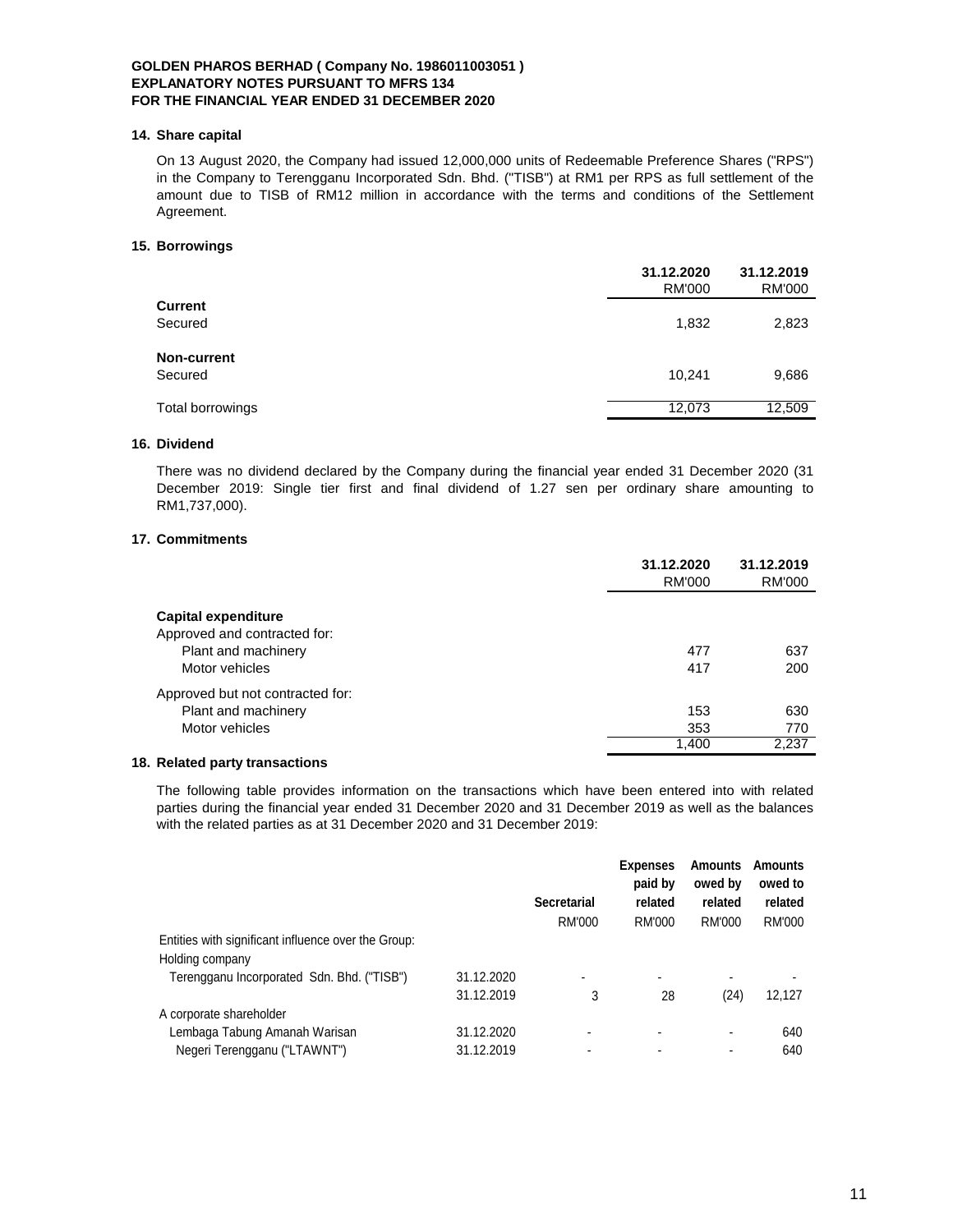#### **14. Share capital**

On 13 August 2020, the Company had issued 12,000,000 units of Redeemable Preference Shares ("RPS") in the Company to Terengganu Incorporated Sdn. Bhd. ("TISB") at RM1 per RPS as full settlement of the amount due to TISB of RM12 million in accordance with the terms and conditions of the Settlement Agreement.

#### **15. Borrowings**

|                  | 31.12.2020<br><b>RM'000</b> | 31.12.2019<br><b>RM'000</b> |
|------------------|-----------------------------|-----------------------------|
| Current          |                             |                             |
| Secured          | 1,832                       | 2,823                       |
| Non-current      |                             |                             |
| Secured          | 10,241                      | 9,686                       |
| Total borrowings | 12,073                      | 12,509                      |
|                  |                             |                             |

### **16. Dividend**

There was no dividend declared by the Company during the financial year ended 31 December 2020 (31 December 2019: Single tier first and final dividend of 1.27 sen per ordinary share amounting to RM1,737,000).

# **17. Commitments**

|                                  | 31.12.2020<br>RM'000 | 31.12.2019<br>RM'000 |
|----------------------------------|----------------------|----------------------|
| Capital expenditure              |                      |                      |
| Approved and contracted for:     |                      |                      |
| Plant and machinery              | 477                  | 637                  |
| Motor vehicles                   | 417                  | 200                  |
| Approved but not contracted for: |                      |                      |
| Plant and machinery              | 153                  | 630                  |
| Motor vehicles                   | 353                  | 770                  |
|                                  | 1,400                | 2.237                |

#### **18. Related party transactions**

The following table provides information on the transactions which have been entered into with related parties during the financial year ended 31 December 2020 and 31 December 2019 as well as the balances with the related parties as at 31 December 2020 and 31 December 2019:

|                                                                        | <b>Secretarial</b><br>RM'000 | <b>Expenses</b><br>paid by<br>related<br>RM'000 | <b>Amounts</b><br>owed by<br>related<br>RM'000 | <b>Amounts</b><br>owed to<br>related<br>RM'000 |
|------------------------------------------------------------------------|------------------------------|-------------------------------------------------|------------------------------------------------|------------------------------------------------|
| Entities with significant influence over the Group:<br>Holding company |                              |                                                 |                                                |                                                |
| 31.12.2020<br>Terengganu Incorporated Sdn. Bhd. ("TISB")               | ۰                            | $\blacksquare$                                  |                                                |                                                |
| 31.12.2019                                                             | 3                            | 28                                              | (24)                                           | 12.127                                         |
| A corporate shareholder                                                |                              |                                                 |                                                |                                                |
| Lembaga Tabung Amanah Warisan<br>31.12.2020                            |                              | -                                               |                                                | 640                                            |
| Negeri Terengganu ("LTAWNT")<br>31.12.2019                             |                              |                                                 |                                                | 640                                            |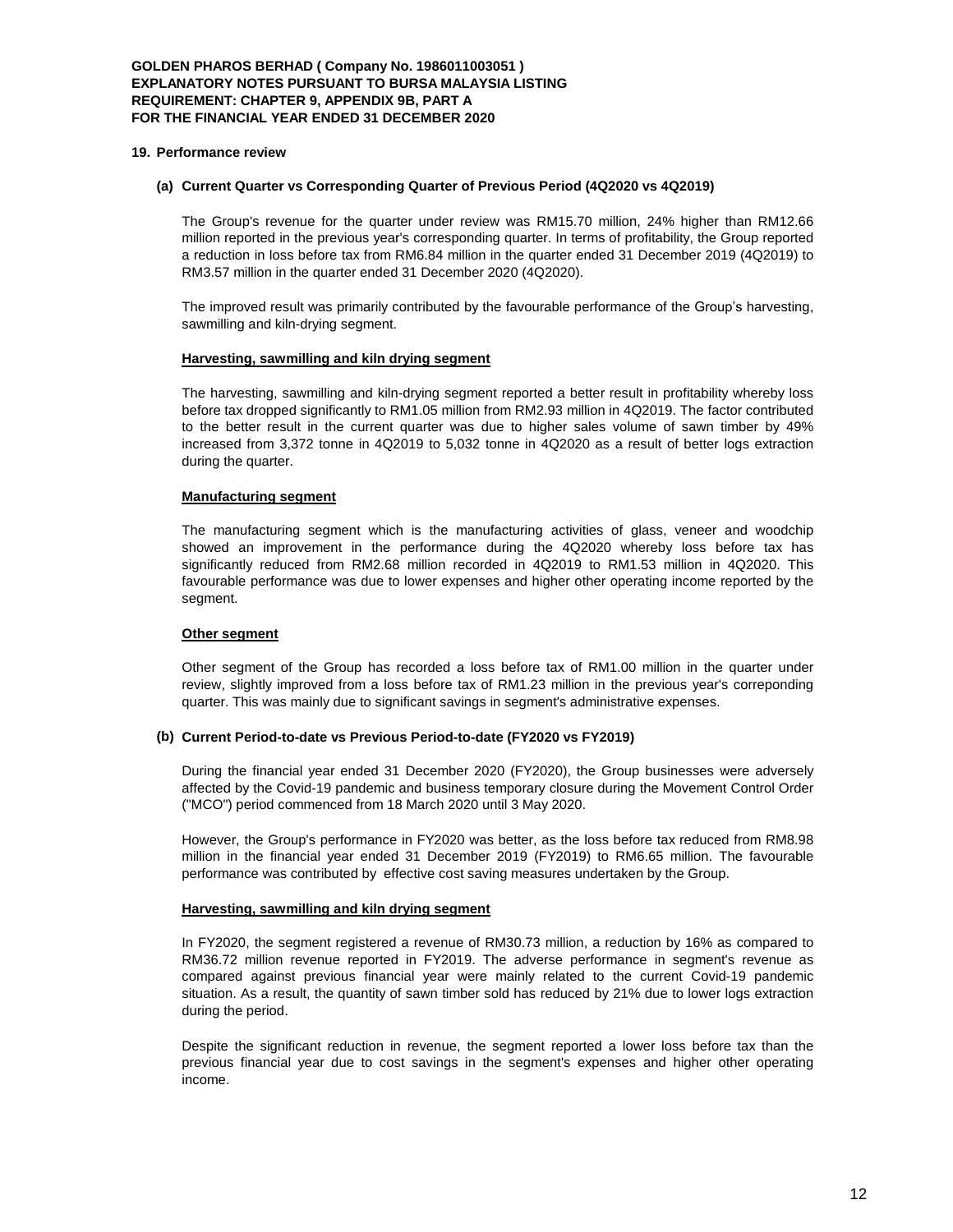### **GOLDEN PHAROS BERHAD ( Company No. 1986011003051 ) EXPLANATORY NOTES PURSUANT TO BURSA MALAYSIA LISTING REQUIREMENT: CHAPTER 9, APPENDIX 9B, PART A FOR THE FINANCIAL YEAR ENDED 31 DECEMBER 2020**

#### **19. Performance review**

#### **(a) Current Quarter vs Corresponding Quarter of Previous Period (4Q2020 vs 4Q2019)**

The Group's revenue for the quarter under review was RM15.70 million, 24% higher than RM12.66 million reported in the previous year's corresponding quarter. In terms of profitability, the Group reported a reduction in loss before tax from RM6.84 million in the quarter ended 31 December 2019 (4Q2019) to RM3.57 million in the quarter ended 31 December 2020 (4Q2020).

The improved result was primarily contributed by the favourable performance of the Group's harvesting, sawmilling and kiln-drying segment.

#### **Harvesting, sawmilling and kiln drying segment**

The harvesting, sawmilling and kiln-drying segment reported a better result in profitability whereby loss before tax dropped significantly to RM1.05 million from RM2.93 million in 4Q2019. The factor contributed to the better result in the current quarter was due to higher sales volume of sawn timber by 49% increased from 3,372 tonne in 4Q2019 to 5,032 tonne in 4Q2020 as a result of better logs extraction during the quarter.

#### **Manufacturing segment**

The manufacturing segment which is the manufacturing activities of glass, veneer and woodchip showed an improvement in the performance during the 4Q2020 whereby loss before tax has significantly reduced from RM2.68 million recorded in 4Q2019 to RM1.53 million in 4Q2020. This favourable performance was due to lower expenses and higher other operating income reported by the segment.

### **Other segment**

Other segment of the Group has recorded a loss before tax of RM1.00 million in the quarter under review, slightly improved from a loss before tax of RM1.23 million in the previous year's correponding quarter. This was mainly due to significant savings in segment's administrative expenses.

#### **(b) Current Period-to-date vs Previous Period-to-date (FY2020 vs FY2019)**

During the financial year ended 31 December 2020 (FY2020), the Group businesses were adversely affected by the Covid-19 pandemic and business temporary closure during the Movement Control Order ("MCO") period commenced from 18 March 2020 until 3 May 2020.

However, the Group's performance in FY2020 was better, as the loss before tax reduced from RM8.98 million in the financial year ended 31 December 2019 (FY2019) to RM6.65 million. The favourable performance was contributed by effective cost saving measures undertaken by the Group.

#### **Harvesting, sawmilling and kiln drying segment**

In FY2020, the segment registered a revenue of RM30.73 million, a reduction by 16% as compared to RM36.72 million revenue reported in FY2019. The adverse performance in segment's revenue as compared against previous financial year were mainly related to the current Covid-19 pandemic situation. As a result, the quantity of sawn timber sold has reduced by 21% due to lower logs extraction during the period.

Despite the significant reduction in revenue, the segment reported a lower loss before tax than the previous financial year due to cost savings in the segment's expenses and higher other operating income.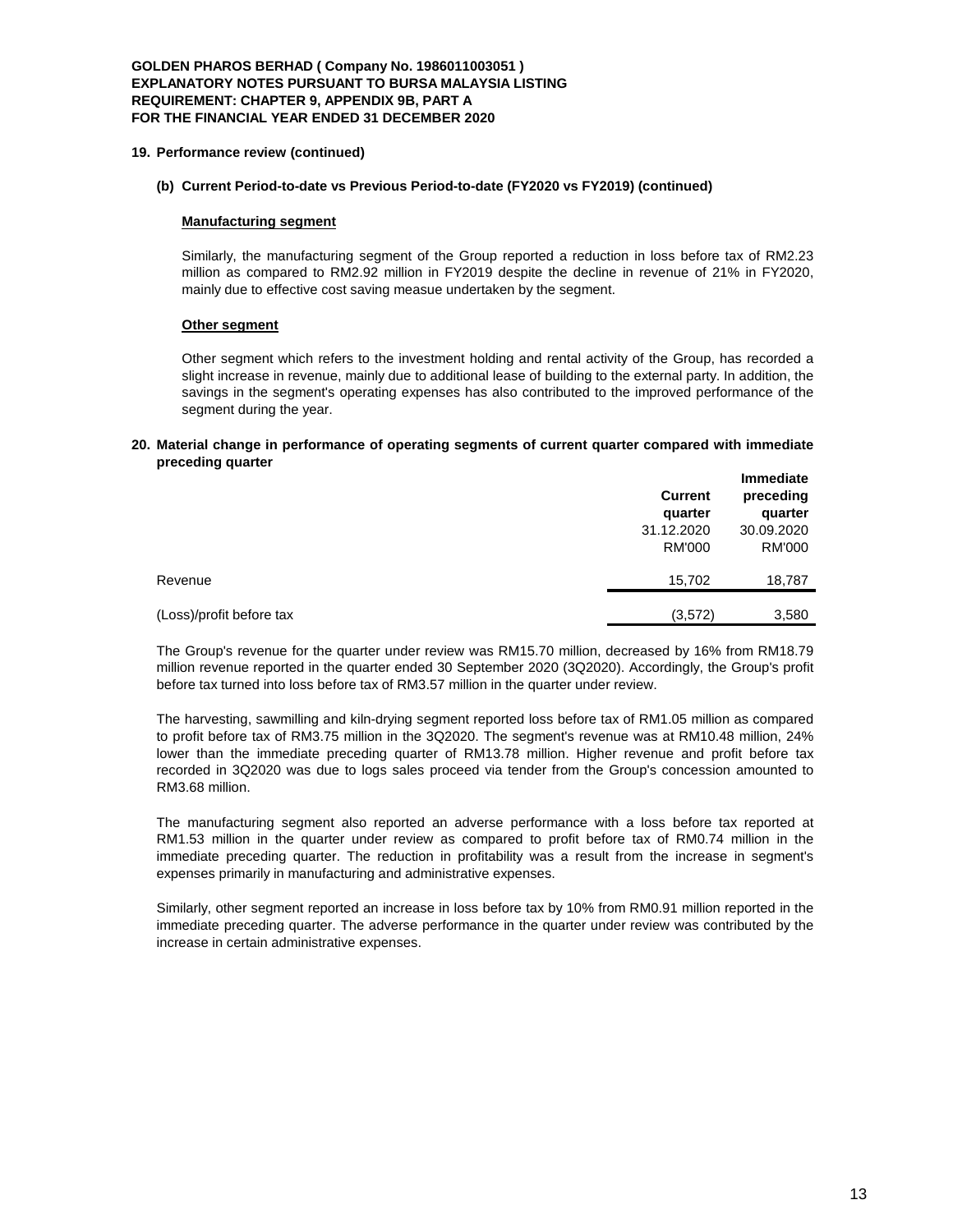### **GOLDEN PHAROS BERHAD ( Company No. 1986011003051 ) EXPLANATORY NOTES PURSUANT TO BURSA MALAYSIA LISTING REQUIREMENT: CHAPTER 9, APPENDIX 9B, PART A FOR THE FINANCIAL YEAR ENDED 31 DECEMBER 2020**

#### **19. Performance review (continued)**

## **(b) Current Period-to-date vs Previous Period-to-date (FY2020 vs FY2019) (continued)**

#### **Manufacturing segment**

Similarly, the manufacturing segment of the Group reported a reduction in loss before tax of RM2.23 million as compared to RM2.92 million in FY2019 despite the decline in revenue of 21% in FY2020, mainly due to effective cost saving measue undertaken by the segment.

#### **Other segment**

Other segment which refers to the investment holding and rental activity of the Group, has recorded a slight increase in revenue, mainly due to additional lease of building to the external party. In addition, the savings in the segment's operating expenses has also contributed to the improved performance of the segment during the year.

#### **20. Material change in performance of operating segments of current quarter compared with immediate preceding quarter**

|                          | <b>Current</b><br>quarter | <b>Immediate</b><br>preceding<br>quarter |  |
|--------------------------|---------------------------|------------------------------------------|--|
|                          | 31.12.2020                | 30.09.2020                               |  |
|                          | RM'000                    | RM'000                                   |  |
| Revenue                  | 15,702                    | 18,787                                   |  |
| (Loss)/profit before tax | (3,572)                   | 3,580                                    |  |

The Group's revenue for the quarter under review was RM15.70 million, decreased by 16% from RM18.79 million revenue reported in the quarter ended 30 September 2020 (3Q2020). Accordingly, the Group's profit before tax turned into loss before tax of RM3.57 million in the quarter under review.

The harvesting, sawmilling and kiln-drying segment reported loss before tax of RM1.05 million as compared to profit before tax of RM3.75 million in the 3Q2020. The segment's revenue was at RM10.48 million, 24% lower than the immediate preceding quarter of RM13.78 million. Higher revenue and profit before tax recorded in 3Q2020 was due to logs sales proceed via tender from the Group's concession amounted to RM3.68 million.

The manufacturing segment also reported an adverse performance with a loss before tax reported at RM1.53 million in the quarter under review as compared to profit before tax of RM0.74 million in the immediate preceding quarter. The reduction in profitability was a result from the increase in segment's expenses primarily in manufacturing and administrative expenses.

Similarly, other segment reported an increase in loss before tax by 10% from RM0.91 million reported in the immediate preceding quarter. The adverse performance in the quarter under review was contributed by the increase in certain administrative expenses.